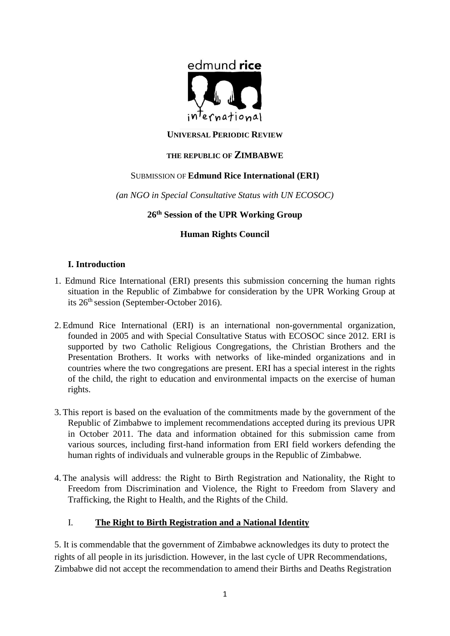

### **UNIVERSAL PERIODIC REVIEW**

### **THE REPUBLIC OF ZIMBABWE**

#### SUBMISSION OF **Edmund Rice International (ERI)**

*(an NGO in Special Consultative Status with UN ECOSOC)*

# **26th Session of the UPR Working Group**

### **Human Rights Council**

### **I. Introduction**

- 1. Edmund Rice International (ERI) presents this submission concerning the human rights situation in the Republic of Zimbabwe for consideration by the UPR Working Group at its 26th session (September-October 2016).
- 2. Edmund Rice International (ERI) is an international non-governmental organization, founded in 2005 and with Special Consultative Status with ECOSOC since 2012. ERI is supported by two Catholic Religious Congregations, the Christian Brothers and the Presentation Brothers. It works with networks of like-minded organizations and in countries where the two congregations are present. ERI has a special interest in the rights of the child, the right to education and environmental impacts on the exercise of human rights.
- 3. This report is based on the evaluation of the commitments made by the government of the Republic of Zimbabwe to implement recommendations accepted during its previous UPR in October 2011. The data and information obtained for this submission came from various sources, including first-hand information from ERI field workers defending the human rights of individuals and vulnerable groups in the Republic of Zimbabwe.
- 4. The analysis will address: the Right to Birth Registration and Nationality, the Right to Freedom from Discrimination and Violence, the Right to Freedom from Slavery and Trafficking, the Right to Health, and the Rights of the Child.

### I. **The Right to Birth Registration and a National Identity**

5. It is commendable that the government of Zimbabwe acknowledges its duty to protect the rights of all people in its jurisdiction. However, in the last cycle of UPR Recommendations, Zimbabwe did not accept the recommendation to amend their Births and Deaths Registration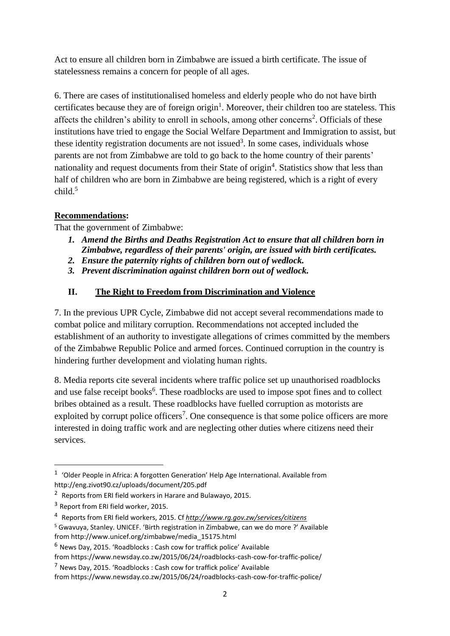Act to ensure all children born in Zimbabwe are issued a birth certificate. The issue of statelessness remains a concern for people of all ages.

6. There are cases of institutionalised homeless and elderly people who do not have birth certificates because they are of foreign origin<sup>1</sup>. Moreover, their children too are stateless. This affects the children's ability to enroll in schools, among other concerns<sup>2</sup>. Officials of these institutions have tried to engage the Social Welfare Department and Immigration to assist, but these identity registration documents are not issued<sup>3</sup>. In some cases, individuals whose parents are not from Zimbabwe are told to go back to the home country of their parents' nationality and request documents from their State of origin<sup>4</sup>. Statistics show that less than half of children who are born in Zimbabwe are being registered, which is a right of every child.<sup>5</sup>

# **Recommendations:**

That the government of Zimbabwe:

- *1. Amend the Births and Deaths Registration Act to ensure that all children born in Zimbabwe, regardless of their parents' origin, are issued with birth certificates.*
- *2. Ensure the paternity rights of children born out of wedlock.*
- *3. Prevent discrimination against children born out of wedlock.*

## **II. The Right to Freedom from Discrimination and Violence**

7. In the previous UPR Cycle, Zimbabwe did not accept several recommendations made to combat police and military corruption. Recommendations not accepted included the establishment of an authority to investigate allegations of crimes committed by the members of the Zimbabwe Republic Police and armed forces. Continued corruption in the country is hindering further development and violating human rights.

8. Media reports cite several incidents where traffic police set up unauthorised roadblocks and use false receipt books<sup>6</sup>. These roadblocks are used to impose spot fines and to collect bribes obtained as a result. These roadblocks have fuelled corruption as motorists are exploited by corrupt police officers<sup>7</sup>. One consequence is that some police officers are more interested in doing traffic work and are neglecting other duties where citizens need their services.

**.** 

<sup>&</sup>lt;sup>1</sup> 'Older People in Africa: A forgotten Generation' Help Age International. Available from http://eng.zivot90.cz/uploads/document/205.pdf

<sup>&</sup>lt;sup>2</sup> Reports from ERI field workers in Harare and Bulawayo, 2015.

<sup>&</sup>lt;sup>3</sup> Report from ERI field worker, 2015.

<sup>4</sup> Reports from ERI field workers, 2015. Cf *<http://www.rg.gov.zw/services/citizens>*

<sup>5</sup> Gwavuya, Stanley. UNICEF. 'Birth registration in Zimbabwe, can we do more ?' Available from http://www.unicef.org/zimbabwe/media\_15175.html

<sup>6</sup> News Day, 2015. 'Roadblocks : Cash cow for traffick police' Available

from https://www.newsday.co.zw/2015/06/24/roadblocks-cash-cow-for-traffic-police/

<sup>7</sup> News Day, 2015. 'Roadblocks : Cash cow for traffick police' Available

from https://www.newsday.co.zw/2015/06/24/roadblocks-cash-cow-for-traffic-police/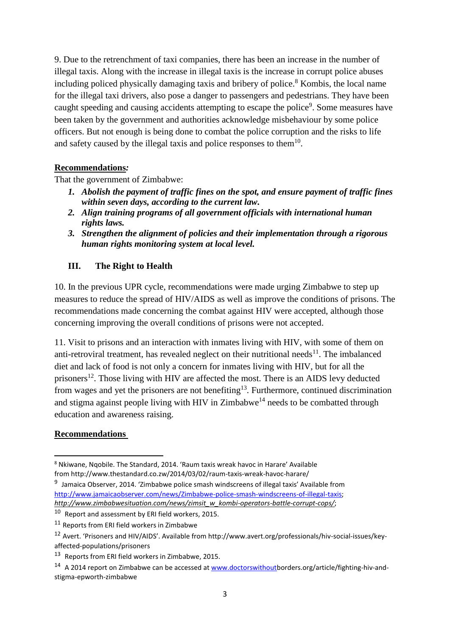9. Due to the retrenchment of taxi companies, there has been an increase in the number of illegal taxis. Along with the increase in illegal taxis is the increase in corrupt police abuses including policed physically damaging taxis and bribery of police. <sup>8</sup> Kombis, the local name for the illegal taxi drivers, also pose a danger to passengers and pedestrians. They have been caught speeding and causing accidents attempting to escape the police<sup>9</sup>. Some measures have been taken by the government and authorities acknowledge misbehaviour by some police officers. But not enough is being done to combat the police corruption and the risks to life and safety caused by the illegal taxis and police responses to them $10$ .

### **Recommendations***:*

That the government of Zimbabwe:

- *1. Abolish the payment of traffic fines on the spot, and ensure payment of traffic fines within seven days, according to the current law.*
- *2. Align training programs of all government officials with international human rights laws.*
- *3. Strengthen the alignment of policies and their implementation through a rigorous human rights monitoring system at local level.*

### **III. The Right to Health**

10. In the previous UPR cycle, recommendations were made urging Zimbabwe to step up measures to reduce the spread of HIV/AIDS as well as improve the conditions of prisons. The recommendations made concerning the combat against HIV were accepted, although those concerning improving the overall conditions of prisons were not accepted.

11. Visit to prisons and an interaction with inmates living with HIV, with some of them on anti-retroviral treatment, has revealed neglect on their nutritional needs<sup>11</sup>. The imbalanced diet and lack of food is not only a concern for inmates living with HIV, but for all the prisoners<sup>12</sup>. Those living with HIV are affected the most. There is an AIDS levy deducted from wages and yet the prisoners are not benefiting<sup>13</sup>. Furthermore, continued discrimination and stigma against people living with HIV in Zimbabwe<sup>14</sup> needs to be combatted through education and awareness raising.

### **Recommendations**

1

<sup>8</sup> Nkiwane, Nqobile. The Standard, 2014. 'Raum taxis wreak havoc in Harare' Available from http://www.thestandard.co.zw/2014/03/02/raum-taxis-wreak-havoc-harare/

<sup>&</sup>lt;sup>9</sup> Jamaica Observer, 2014. 'Zimbabwe police smash windscreens of illegal taxis' Available from [http://www.jamaicaobserver.com/news/Zimbabwe-police-smash-windscreens-of-illegal-taxis;](http://www.jamaicaobserver.com/news/Zimbabwe-police-smash-windscreens-of-illegal-taxis) *[http://www.zimbabwesituation.com/news/zimsit\\_w\\_kombi-operators-battle-corrupt-cops/](http://www.zimbabwesituation.com/news/zimsit_w_kombi-operators-battle-corrupt-cops/)*;

<sup>10</sup> Report and assessment by ERI field workers, 2015.

<sup>&</sup>lt;sup>11</sup> Reports from ERI field workers in Zimbabwe

<sup>12</sup> Avert. 'Prisoners and HIV/AIDS'. Available from http://www.avert.org/professionals/hiv-social-issues/keyaffected-populations/prisoners

<sup>&</sup>lt;sup>13</sup> Reports from ERI field workers in Zimbabwe, 2015.

<sup>&</sup>lt;sup>14</sup> A 2014 report on Zimbabwe can be accessed a[t www.doctorswithoutb](http://www.doctorswithout/)orders.org/article/fighting-hiv-andstigma-epworth-zimbabwe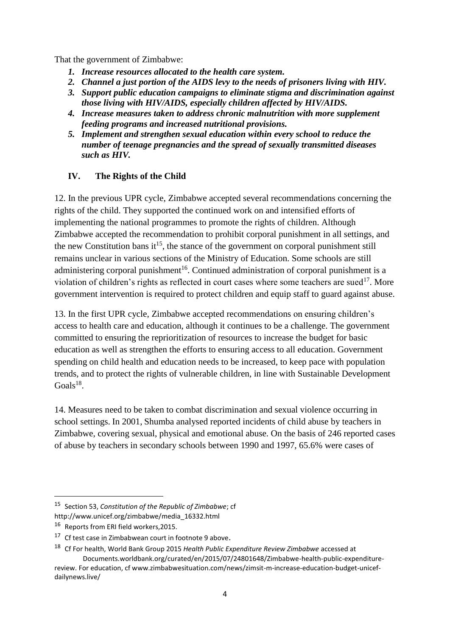That the government of Zimbabwe:

- *1. Increase resources allocated to the health care system.*
- *2. Channel a just portion of the AIDS levy to the needs of prisoners living with HIV.*
- *3. Support public education campaigns to eliminate stigma and discrimination against those living with HIV/AIDS, especially children affected by HIV/AIDS.*
- *4. Increase measures taken to address chronic malnutrition with more supplement feeding programs and increased nutritional provisions.*
- *5. Implement and strengthen sexual education within every school to reduce the number of teenage pregnancies and the spread of sexually transmitted diseases such as HIV.*

### **IV. The Rights of the Child**

12. In the previous UPR cycle, Zimbabwe accepted several recommendations concerning the rights of the child. They supported the continued work on and intensified efforts of implementing the national programmes to promote the rights of children. Although Zimbabwe accepted the recommendation to prohibit corporal punishment in all settings, and the new Constitution bans it<sup>15</sup>, the stance of the government on corporal punishment still remains unclear in various sections of the Ministry of Education. Some schools are still administering corporal punishment<sup>16</sup>. Continued administration of corporal punishment is a violation of children's rights as reflected in court cases where some teachers are sued<sup>17</sup>. More government intervention is required to protect children and equip staff to guard against abuse.

13. In the first UPR cycle, Zimbabwe accepted recommendations on ensuring children's access to health care and education, although it continues to be a challenge. The government committed to ensuring the reprioritization of resources to increase the budget for basic education as well as strengthen the efforts to ensuring access to all education. Government spending on child health and education needs to be increased, to keep pace with population trends, and to protect the rights of vulnerable children, in line with Sustainable Development  $Goals<sup>18</sup>$ .

14. Measures need to be taken to combat discrimination and sexual violence occurring in school settings. In 2001, Shumba analysed reported incidents of child abuse by teachers in Zimbabwe, covering sexual, physical and emotional abuse. On the basis of 246 reported cases of abuse by teachers in secondary schools between 1990 and 1997, 65.6% were cases of

**.** 

dailynews.live/

<sup>15</sup> Section 53, *Constitution of the Republic of Zimbabwe*; cf

http://www.unicef.org/zimbabwe/media\_16332.html

<sup>&</sup>lt;sup>16</sup> Reports from ERI field workers, 2015.

<sup>&</sup>lt;sup>17</sup> Cf test case in Zimbabwean court in footnote 9 above.

<sup>18</sup> Cf For health, World Bank Group 2015 *Health Public Expenditure Review Zimbabwe* accessed at Documents.worldbank.org/curated/en/2015/07/24801648/Zimbabwe-health-public-expenditurereview. For education, cf www.zimbabwesituation.com/news/zimsit-m-increase-education-budget-unicef-